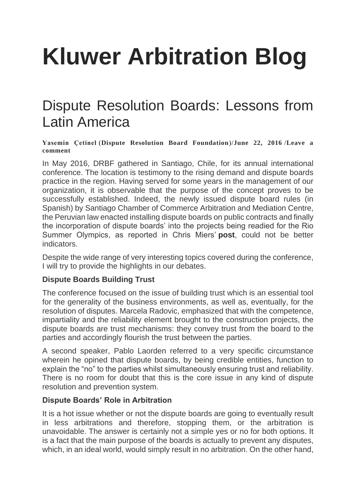# **[Kluwer Arbitration Blog](http://arbitrationblog.kluwerarbitration.com/)**

## [Dispute Resolution Boards: Lessons from](http://arbitrationblog.kluwerarbitration.com/2016/06/22/dispute-resolution-boards-lessons-from-latin-america/)  [Latin America](http://arbitrationblog.kluwerarbitration.com/2016/06/22/dispute-resolution-boards-lessons-from-latin-america/)

#### **[Yasemin Çetinel](http://arbitrationblog.kluwerarbitration.com/author/yasemincetinel/)** (**[Dispute Resolution Board Foundation](http://arbitrationblog.kluwerarbitration.com/2016/06/22/dispute-resolution-boards-lessons-from-latin-america/www.drb.org)**)/**[June 22, 2016](http://arbitrationblog.kluwerarbitration.com/2016/06/22/dispute-resolution-boards-lessons-from-latin-america/)** /**[Leave a](http://arbitrationblog.kluwerarbitration.com/2016/06/22/dispute-resolution-boards-lessons-from-latin-america/#respond)  [comment](http://arbitrationblog.kluwerarbitration.com/2016/06/22/dispute-resolution-boards-lessons-from-latin-america/#respond)**

In May 2016, DRBF gathered in Santiago, Chile, for its annual international conference. The location is testimony to the rising demand and dispute boards practice in the region. Having served for some years in the management of our organization, it is observable that the purpose of the concept proves to be successfully established. Indeed, the newly issued dispute board rules (in Spanish) by Santiago Chamber of Commerce Arbitration and Mediation Centre, the Peruvian law enacted installing dispute boards on public contracts and finally the incorporation of dispute boards' into the projects being readied for the Rio Summer Olympics, as reported in Chris Miers' **[post](http://kluwerarbitrationblog.com/2015/05/25/real-time-dispute-resolution-in-rio-de-janeiro-since-you-cannot-delay-the-olympic-games/)**, could not be better indicators.

Despite the wide range of very interesting topics covered during the conference, I will try to provide the highlights in our debates.

#### **Dispute Boards Building Trust**

The conference focused on the issue of building trust which is an essential tool for the generality of the business environments, as well as, eventually, for the resolution of disputes. Marcela Radovic, emphasized that with the competence, impartiality and the reliability element brought to the construction projects, the dispute boards are trust mechanisms: they convey trust from the board to the parties and accordingly flourish the trust between the parties.

A second speaker, Pablo Laorden referred to a very specific circumstance wherein he opined that dispute boards, by being credible entities, function to explain the "no" to the parties whilst simultaneously ensuring trust and reliability. There is no room for doubt that this is the core issue in any kind of dispute resolution and prevention system.

### **Dispute Boards' Role in Arbitration**

It is a hot issue whether or not the dispute boards are going to eventually result in less arbitrations and therefore, stopping them, or the arbitration is unavoidable. The answer is certainly not a simple yes or no for both options. It is a fact that the main purpose of the boards is actually to prevent any disputes, which, in an ideal world, would simply result in no arbitration. On the other hand,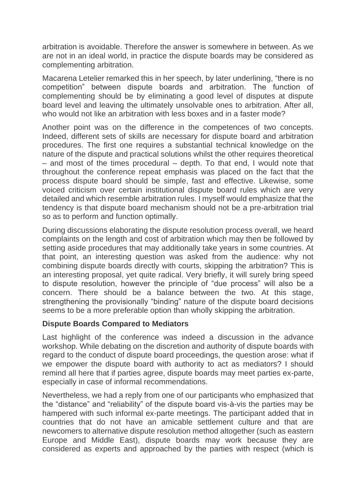arbitration is avoidable. Therefore the answer is somewhere in between. As we are not in an ideal world, in practice the dispute boards may be considered as complementing arbitration.

Macarena Letelier remarked this in her speech, by later underlining, "there is no competition" between dispute boards and arbitration. The function of complementing should be by eliminating a good level of disputes at dispute board level and leaving the ultimately unsolvable ones to arbitration. After all, who would not like an arbitration with less boxes and in a faster mode?

Another point was on the difference in the competences of two concepts. Indeed, different sets of skills are necessary for dispute board and arbitration procedures. The first one requires a substantial technical knowledge on the nature of the dispute and practical solutions whilst the other requires theoretical – and most of the times procedural – depth. To that end, I would note that throughout the conference repeat emphasis was placed on the fact that the process dispute board should be simple, fast and effective. Likewise, some voiced criticism over certain institutional dispute board rules which are very detailed and which resemble arbitration rules. I myself would emphasize that the tendency is that dispute board mechanism should not be a pre-arbitration trial so as to perform and function optimally.

During discussions elaborating the dispute resolution process overall, we heard complaints on the length and cost of arbitration which may then be followed by setting aside procedures that may additionally take years in some countries. At that point, an interesting question was asked from the audience: why not combining dispute boards directly with courts, skipping the arbitration? This is an interesting proposal, yet quite radical. Very briefly, it will surely bring speed to dispute resolution, however the principle of "due process" will also be a concern. There should be a balance between the two. At this stage, strengthening the provisionally "binding" nature of the dispute board decisions seems to be a more preferable option than wholly skipping the arbitration.

#### **Dispute Boards Compared to Mediators**

Last highlight of the conference was indeed a discussion in the advance workshop. While debating on the discretion and authority of dispute boards with regard to the conduct of dispute board proceedings, the question arose: what if we empower the dispute board with authority to act as mediators? I should remind all here that if parties agree, dispute boards may meet parties ex-parte, especially in case of informal recommendations.

Nevertheless, we had a reply from one of our participants who emphasized that the "distance" and "reliability" of the dispute board vis-à-vis the parties may be hampered with such informal ex-parte meetings. The participant added that in countries that do not have an amicable settlement culture and that are newcomers to alternative dispute resolution method altogether (such as eastern Europe and Middle East), dispute boards may work because they are considered as experts and approached by the parties with respect (which is